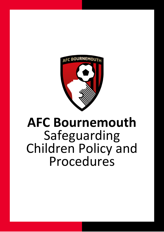

**Safeguarding Children Policy and Procedures**

# **AFC Bournemouth** Safeguarding Children Policy and Procedures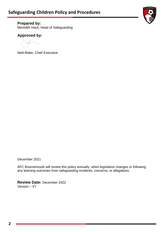

**Prepared by:** Meredith Hack, Head of Safeguarding

## **Approved by:**

Neill Blake, Chief Executive

December 2021

AFC Bournemouth will review this policy annually, when legislation changes or following any learning outcomes from safeguarding incidents, concerns, or allegations.

**Review Date:** December 2022 Version – V7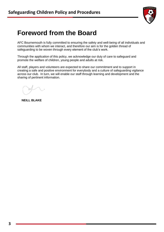

# **Foreword from the Board**

AFC Bournemouth is fully committed to ensuring the safety and well-being of all individuals and communities with whom we interact, and therefore our aim is for the golden thread of safeguarding to be woven through every element of the club's work.

Through the application of this policy, we acknowledge our duty of care to safeguard and promote the welfare of children, young people and adults at risk.

All staff, players and volunteers are expected to share our commitment and to support in creating a safe and positive environment for everybody and a culture of safeguarding vigilance across our club. In turn, we will enable our staff through learning and development and the sharing of pertinent information.

**NEILL BLAKE**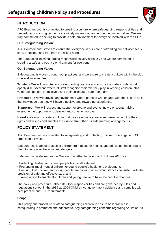## **INTRODUCTION**

AFC Bournemouth is committed to creating a culture where safeguarding responsibilities and procedures for raising concerns are widely understood and embedded in our values. We are fully committed to seeking to provide a safe environment for everyone involved with the Club.

#### **Our Safeguarding Vision:**

AFC Bournemouth strives to ensure that everyone in our care or attending our activities feels safe, protected, and free from the risk of harm.

The Club takes its safeguarding responsibilities very seriously and we are committed to creating a safe and positive environment for everyone.

#### **Our Safeguarding Values:**

Safeguarding is woven through our practices, and we aspire to create a culture within the club where all involved feel:

**Trusted** - We will promote good safeguarding practice and ensure it is widely understood, openly discussed and where all staff recognise their role they play in keeping children, other vulnerable people, themselves, and their colleagues safe from harm.

**Protected** - We will provide an environment where persons who engage with the club do so in the knowledge that they will have a positive and rewarding experience.

**Supported** - We will respect and support everyone and everything we encounter giving everyone the opportunity to develop and strive to improve.

**Heard** - We aim to create a culture that gives everyone a voice and takes account of their rights and wishes and enables the club to strengthen its safeguarding arrangements.

## **POLICY STATEMENT**

AFC Bournemouth is committed to safeguarding and protecting children who engage in Club organised activities.

Safeguarding is about protecting children from abuse or neglect and educating those around them to recognise the signs and dangers.

Safeguarding is defined within 'Working Together to Safeguard Children 2018' as:

• Protecting children and young people from maltreatment;

• Preventing impairment of children or young people's health or development;

• Ensuring that children and young people are growing up in circumstances consistent with the provision of safe and effective care; and

• Taking action to enable all children and young people to have the best life chances

The policy and procedure reflect statutory responsibilities and are governed by rules and regulations set out in the 1989 ad 2004 Children Act government guidance and complies with best practice and EFL requirements.

#### **Scope:**

This policy and procedure relate to safeguarding children to ensure best practice in safeguarding is promoted and adhered to. Any safeguarding concerns regarding Adults at Risk

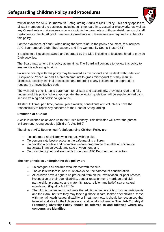## **Safeguarding Children Policy and Procedures**



will fall under the AFC Bournemouth 'Safeguarding Adults at Risk' Policy. This policy applies to all staff members of the business, including full time, part time, casual or pieceworker as well as any Consultants and Volunteers who work within the parameters of those at-risk groups of staff, customers or clients. All staff members, Consultants and Volunteers are required to adhere to this policy.

For the avoidance of doubt, when using the term 'club' in the policy document, this includes AFC Bournemouth Club, The Academy and The Community Sports Trust (CST).

It applies to all locations owned and operated by the Club including at locations hired to provide Club activities.

The Board may amend this policy at any time. The Board will continue to review this policy to ensure it is achieving its aims.

Failure to comply with this policy may be treated as misconduct and be dealt with under our Disciplinary Procedure and if a breach amounts to gross misconduct this may result in dismissal, possibly criminal prosecution and reporting of any incident to the appropriate regulatory or investigative body.

The well-being of children is paramount for all staff and accordingly, they must read and fully understand this policy. Where appropriate, the following guidelines will be supplemented by in service training and additional guidance.

All staff: full time, part time, casual, piece worker, consultants and volunteers have the responsibility to report any concerns to the Head of Safeguarding.

#### **Definition of a Child:**

A child is defined as anyone up to their 18th birthday. This definition will cover the phrase 'children and young people'. (Children's Act 1989)

The aims of AFC Bournemouth's Safeguarding Children Policy are:

- To safeguard all children who interact with the club.
- To demonstrate best practice in the safeguarding children.
- To develop a positive and pro-active welfare programme to enable all children to participate in an enjoyable and safe environment; and
- To promote high ethical standards throughout AFC Bournemouth activities

#### **The key principles underpinning this policy are**

- To safeguard all children who interact with the club.
- The child's welfare is, and must always be, the paramount consideration.
- All children have a right to be protected from abuse, exploitation, or poor practice, irrespective of their age, disability, gender reassignment, marriage and civil partnership, pregnancy and maternity, race, religion and belief, sex or sexual orientation. (Equality Act 2010)
- The club is committed to address the additional vulnerability of some participants and the extra barriers they may face e.g. those in care, looked after children, those with mental health issues, disability or impairment etc. It should be recognised that talented and elite football players are additionally vulnerable. **The club Equality & Promoting Diversity Policy should be referred to and followed where any concerns are identified.**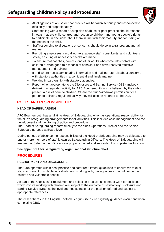

- All allegations of abuse or poor practice will be taken seriously and responded to efficiently and proportionately.
- Staff dealing with a report or suspicion of abuse or poor practice should respond in ways that are child-centred and recognise children and young people's rights to participate in decisions about them in line with their maturity and focussing on the needs of the child.
- Staff responding to allegations or concerns should do so in a transparent and fair manner.
- Recruiting employees, casual workers, agency staff, consultants, and volunteers safely, ensuring all necessary checks are made.
- To ensure that coaches, parents, and other adults who come into contact with children provide good role models of behaviour and have received effective management and training.
- If and where necessary, sharing information and making referrals about concerns with statutory authorities in a confidential and timely manner.
- Working in partnership with statutory agencies.
- Report when appropriate to the Disclosure and Barring Service (DBS) anybody delivering a regulated activity for AFC Bournemouth who is believed by the club to present a risk of harm to children. Where the club 'withdraws permission' for a person to deliver a regulated activity they will also be reported to the DBS.

## **ROLES AND RESPONSIBILITIES**

#### **HEAD OF SAFEGUARDING**

AFC Bournemouth has a full time Head of Safeguarding who has operational responsibility for the club's safeguarding arrangements for all activities. This includes case management and the development and monitoring of policy and procedure.

The Head of Safeguarding reports directly to the clubs Operations Director and the Senior Safeguarding Lead at Board level.

During periods of absence the responsibilities of the Head of Safeguarding may be delegated to one or more members of staff known as Safeguarding Officers. The Head of Safeguarding will ensure that Safeguarding Officers are properly trained and supported to complete this function.

#### **See appendix 1 for safeguarding organisational structure chart**

### **PROCEDURES**

#### **RECRUITMENT AND DISCLOSURE**

The Club operates within best practice and safer recruitment guidelines to ensure we take all steps to prevent unsuitable individuals from working with, having access to or influence over children and vulnerable people.

As part of the Club's safer recruitment and selection process, all offers of work for positions which involve working with children are subject to the outcome of satisfactory Disclosure and Barring Service (DBS) at the level deemed suitable for the position offered and subject to appropriate references.

The club adheres to the English Football League disclosure eligibility guidance document when completing DBS.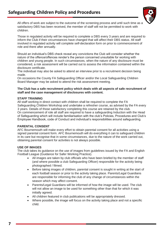

All offers of work are subject to the outcome of the screening process and until such time as a satisfactory DBS has been received, the member of staff will not be permitted to work with children.

Those in regulated activity will be required to complete a DBS every 3 years and are required to inform the Club if their circumstances have changed that will affect their DBS status. All staff involved in regulated activity will complete self-declaration form on prior to commencement of role and there after annually.

Should an individual's DBS check reveal any convictions the Club will consider whether the nature of the offence/offences render's the person concerned unsuitable for working with children and young people. In such circumstances, when the nature of any disclosure must be considered, a risk assessment will be carried out to assess the information contained within the disclosure certificate.

The individual may also be asked to attend an interview prior to a recruitment decision being made.

On occasions the County FA Safeguarding Officer and/or the Local Safeguarding Children Board Manager may be asked to attend the risk assessment meeting.

#### **The Club has a safe recruitment policy which deals with all aspects of safe recruitment of staff and the case management of disclosures with content.**

#### **STAFF TRAINING**

All staff working in direct contact with children shall be required to complete the FA Safeguarding Children Workshop and undertake a refresher course, as advised by the FA every 3 years. Details of those satisfactory completing this course are retained by the club. On commencement of role all staff are required to have a safeguarding Induction with the Head of Safeguarding which will include familiarisation with the club's Policies, Procedures and Club's Employee Handbook, code of Conduct and individual's responsibilities around safeguarding.

#### **PARENTAL CONSENT**

AFC Bournemouth will make every effort to obtain parental consent for all activities using a signed parental consent form. AFC Bournemouth will do everything it can to safeguard children in its care but recognise that in some circumstances, due to the nature of the work carried out, obtaining parental consent for activities is not always possible.

#### **USE OF IMAGES**

The club takes its guidance on the use of images from guidelines issued by the FA and English Football League (Guidance for Safer Working Practice).

- All images are taken by club officials who have been briefed by the member of staff (and where possible a club Safeguarding Officer) responsible for the activity being photographed / filmed.
- Before taking images of children, parental consent is sought in writing at the start of each football season or prior to the activity taking place. Parents/Legal Guardians are responsible for informing the club of any change of circumstances within the season which may affect consent.
- Parents/Legal Guardians will be informed of how the image will be used. The club will not allow an image to be used for something other than that for which it was initially agreed.
- All children featured in club publications will be appropriately dressed.
- Where possible, the image will focus on the activity taking place and not a specific child.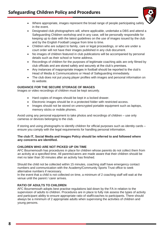

- Where appropriate, images represent the broad range of people participating safely in the event.
- Designated club photographers will, where applicable, undertake a DBS and attend a Safeguarding Children workshop and in any case, will be personally responsible for keeping up to date with the latest guidelines on the use of images issued by the club and by the English Football League from time to time.
- Children who are subject to family, care or legal proceedings, or who are under a court order will not have their images published in any club document.
- No images of children featured in club publications will be accompanied by personal details such as their school or home address.
- Recordings of children for the purposes of legitimate coaching aids are only filmed by club officials and are stored safely and securely at the club's premises.
- Any instances of inappropriate images in football should be reported to the club's Head of Media & Communications or Head of Safeguarding immediately.
- The club does not put young player profiles with images and personal information on its website.

#### **GUIDANCE FOR THE SECURE STORAGE OF IMAGES**

Images or video recordings of children must be kept securely.

- Hard copies of images should be kept in a locked drawer.
- Electronic images should be in a protected folder with restricted access.
- Images should not be stored on unencrypted portable equipment such as laptops, memory sticks or mobile phones.

Avoid using any personal equipment to take photos and recordings of children – use only cameras or devices belonging to the club.

If storing and using photographs to identify children for official purposes such as identity cards – ensure you comply with the legal requirements for handling personal information.

#### **The club IT, Social Media and Images Policy should be referred to and followed where any concerns are identified.**

#### **CHILDREN WHO ARE NOT PICKED UP ON TIME**

AFC Bournemouth has procedures in place for children whose parents do not collect them from an activity at a specified time. All parents/carers are made aware that their children should be met no later than 30 minutes after an activity has finished.

Should the child not be collected within 15 minutes, coaching staff have emergency contact numbers and communication with the Academy/Community Sports Trust office to seek alternative numbers if necessary.

In the event that a child is not collected on time, a minimum of 2 coaching staff will wait at the venue until the parent / carer arrives.

#### **RATIO OF ADULTS TO CHILDREN**

AFC Bournemouth adopts best practise regulations laid down by the FA in relation to the supervision of adults to children. Procedures are in place to fully risk assess the types of activity and participant ability to ensure appropriate ratio of staff/coaches to participants. There should always be a minimum of 2 appropriate adults when supervising the activities of children and young persons.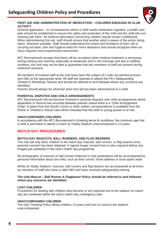

#### **FIRST AID AND ADMINISTRATION OF MEDICATION – CHILDREN ENGAGED IN CLUB ACTIVITY**

General application – In circumstances where a child needs medication regularly, a health care plan should be established to ensure the safety and protection of the child and the staff who are working with them. All medical information concerning children should remain confidential. When administering first aid, staff should ensure that another adult is aware of the action being taken, wherever possible. Staff should understand the extent and limitations of their role in carrying out basic care and hygiene tasks for minor abrasions and should recognise when an injury requires more experienced intervention.

AFC Bournemouth accepts that there will be occasions when medical treatment is necessary during training and matches especially at weekends and in the evenings and due to staffing numbers, the club may not be able to guarantee that two members of staff are present during treatment sessions.

All members of medical staff at the club have been the subject of a safe recruitment process and DBS at the appropriate level. All staff are required to attend the FA's Safeguarding Children's Workshop. fixtures and should be referred to and followed where any concerns are identified.

Parents should always be informed when first aid has been administered to a child.

#### **PARENTAL DISPUTES AND CHILD ARRANGEMENTS**

AFC Bournemouth will not become involved in parental disputes over child arrangements where separation or divorce has occurred between parents unless there is a 'Child Arrangement Order' in place from the \family Courts or other written correspondence is available from the Police or Children's Social Care which indicates that the child or young person is at risk.

#### **UNACCOMPANIED CHILDREN**

In accordance with the AFC Bournemouth's ticketing terms & conditions, the minimum age that a child is permitted to attend a match at Vitality Stadium unaccompanied is 13 years.

#### **MATCH DAY PROCEDURES**

#### **MATCH DAY MASCOTS, BALL RUNNERS, AND FLAG BEARERS**

The club will only allow children to be match day mascots, ball runners, or flag bearers once parental consent has been obtained. A signed image consent form is also required before any images are published in the club's match day programme.

No photographs of mascots or ball runners featured in club publications will be accompanied by personal information about the child, such as their school, home address or local sports team.

Whilst at Vitality Stadium, mascots, ball runners and flag bearers are accompanied at all times by members of staff who have a valid DBS and have received safeguarding training.

#### **The club Mascot – Ball Runner & Flagbearer Policy should be referred to and followed where any concerns are identified.**

#### **LOST CHILDREN**

Procedures for dealing with children who become or are reported lost at the stadium on match day are contained within the club's match day contingency plan.

#### **UNACCOMPANIED CHILDREN**

The club Ticketing Policy allows children 13 years and over to come to the stadium unaccompanied.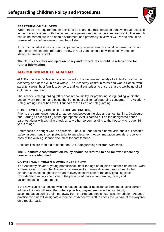

#### **SEARCHING OF CHILDREN**

Where there is a requirement for a child to be searched, this should be done wherever possible in the presence of and with the consent of a parent/guardian or personal assistant. The search should be carried out in an open environment and preferably in view of CCTV and should be witnessed by another steward/member of staff.

If the child or adult at risk is unaccompanied any required search should be carried out in an open environment and preferably in view of CCTV and should be witnessed by another steward/member of staff.

#### **The Club's spectator and ejection policy and procedures should be referred too for further information.**

### **AFC BOURNEMOUTH ACADEMY**

AFC Bournemouth's Academy is committed to the welfare and safety of all children within the Academy and at the club as a whole. The Academy communicates and works closely with parents, carers, host families, schools, and local authorities to ensure that the wellbeing of all children is paramount.

The Academy Safeguarding Officer has responsibility for promoting safeguarding within the academy environment and being the first point of call for safeguarding concerns. The Academy Safeguarding Officer has the full support of the Head of Safeguarding.

#### **HOST FAMILIES (SUBSTITUTE ACCOMMODATION)**

Prior to the commencement of an agreement between the club and a host family a Disclosure and Barring Service (DBS) at the appropriate level is carried out on the designated house parent/s along with a similar check on any other person residing at the house who is over 16 years of age.

References are sought where applicable. The club undertakes a home visit, and a full health & safety assessment is completed prior to any placement. Accommodation providers receive a copy of the club's guidance document for host families.

Host families are required to attend the FA's Safeguarding Children Workshop.

#### **The Substitute Accommodation Policy should be referred to and followed where any concerns are identified.**

#### **YOUTH LOANS, TRIALS & WORK EXPERIENCE**

If an Academy player or young professional under the age of 18 joins another club on trial, work experience or on loan, the Academy will seek written parental consent (additional to the standard consent sought at the start of every season) prior to the activity taking place. Consideration will also be given to the player's education programme, travel, and accommodation arrangements.

If the new club is not located within a reasonable travelling distance from the player's current address the club will insist that, where possible, players are placed in host family accommodation during their time away from the club and not in hotel accommodation. As good practice the club will designate a member of Academy Staff to check the welfare of the player/s on a regular basis.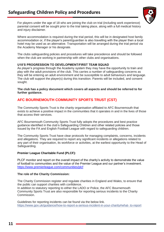

For players under the age of 18 who are joining the club on trial (including work experience) parental consent will be sought prior to the trial taking place, along with a full medical history and injury disclaimer.

Where accommodation is required during the trial period, this will be in designated host family accommodation or, if the player's parent/guardian is also travelling with the player then a local hotel may be used as an alternative. Transportation will be arranged during the trial period via the Academy Manager or his designate.

The clubs safeguarding policies and procedures will take precedence and should be followed when the club are working in partnership with other clubs and organisations.

#### **U18'S PROGRESSION TO DEVELOPMENT/FIRST TEAM SQUAD**

As player's progress through the Academy system they may have the opportunity to train and play with the adult provisions of the club. This carries a number of safeguarding concerns as they will be entering an adult environment and be susceptible to adult behaviours and language. The club will support the player(s) during this transition. Parents will be included, and consent sought.

**The club has a policy document which covers all aspects and should be referred to for further guidance.**

## **AFC BOURNEMOUTH COMMUNITY SPORTS TRUST (CST)**

The Community Sports Trust is the charity organisation affiliated to AFC Bournemouth that exists to achieve a positive impact in the communities that it operates in and in the lives of those that access their services.

AFC Bournemouth Community Sports Trust fully adopts the procedures and best practice guidance identified in the club's Safeguarding Children and other related policies and those issued by the FA and English Football League with regard to safeguarding children.

The Community Sports Trust have clear protocols for managing complaints, concerns, incidents and allegations. They are required to report any significant incidents or allegations related to any part of their organisation, its workforce or activities, at the earliest opportunity to the Head of Safeguarding.

#### **Premier League Charitable Fund (PLCF):**

PLCF monitor and report on the overall impact of the charity's activity to demonstrate the value of football to communities and the value of the Premier League and our partner's investment. <https://www.premierleague.com/communities/plcf>

#### **The role of the Charity Commission:**

Commission.

The Charity Commission register and regulate charities in England and Wales, to ensure that the public can support charities with confidence. In addition to statutory reporting to either the LADO or Police, the AFC Bournemouth Community Sports Trust are also responsible for reporting serious incidents to the Charity

Guidelines for reporting incidents can be found via the below link. https://www.gov.uk/guidance/how-to-report-a-serious-incident-in-your-charity#what- to-report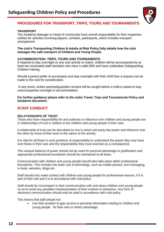

## **PROCEDURES FOR TRANSPORT, TRIPS, TOURS AND TOURNAMENTS**

#### **TRANSPORT**

The Academy Manager or Head of Community have overall responsibility for their respective entities for activities involving players, scholars, participants, which includes transport arrangement.

#### **The club's Transporting Children & Adults at Risk Policy fully details how the club manages the safe transport of Children and Young People.**

#### **ACCOMMODATION- TRIPS, TOURS AND TOURNAMENTS**

If required to stay overnight on any club activity or match, children will be accompanied by at least two nominated staff members who have a valid DBS and have undertaken Safeguarding Children training.

Should a parent prefer to accompany and stay overnight with their child then a request can be made to the club for consideration.

In any event, written parental/guardian consent will be sought before a child is asked to stay unaccompanied overnight in accommodation.

**For further guidance please refer to the clubs Travel, Trips and Tournaments Policy and Guidance document.**

### **STAFF CONDUCT**

#### **RELATIONSHIPS OF TRUST**

Those who have responsibility for and authority or influence over children and young people are in relationships of trust in relation to the children and young people in their care.

A relationship of trust can be described as one in which one party has power and influence over the other by virtue of their work or the nature of the activity.

It is vital for all those in such positions of responsibility to understand the power they may have over those in their care and the responsibility they must exercise as a consequence.

The unequal balance of power should not be used for personal advantage or gratification and appropriate professional boundaries should be maintained at all times.

Communication with children and young people should also take place within professional boundaries. This includes the wider use of technology, such as mobile phones, text messaging, e-mails, websites, blogs etc.

Staff should only make contact with children and young people for professional reasons, if it is part of their role and it is in accordance with club policy.

Staff should be circumspect in their communication with and about children and young people so as to avoid any possible misinterpretation of their motives or behaviour. Any form of electronic communication should only be used in accordance with club policy.

This means that staff should not:

• Use their position to gain access to personal information relating to children and young people for their own or others advantage.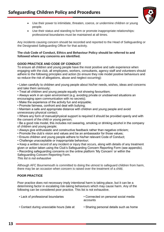

- Use their power to intimidate, threaten, coerce, or undermine children or young people.
- Use their status and standing to form or promote inappropriate relationships: professional boundaries must be maintained at all times.

Any incidents causing concern should be recorded and reported to the Head of Safeguarding or the Designated Safeguarding Officer for that activity.

#### **The club Code of Conduct, Ethics and Behaviour Policy should be referred to and followed where any concerns are identified.**

#### **GOOD PRACTICE AND CODE OF CONDUCT**

To ensure all children and young people have the most positive and safe experience when engaging with the club, all employees, workers, consultants, agency staff and volunteers should adhere to the following principles and action (to ensure they role model positive behaviours and so reduce the risk of allegations, abuse and neglect occurring):

• Listen carefully to children and young people about his/her needs, wishes, ideas and concerns and take them seriously;

• Treat all children and young people equally not showing favouritism;

• Always work in an open environment (e.g. avoiding private or unobserved situations an encouraging open communication with no secrets);

- Make the experience of the activity fun and enjoyable;
- Promote fairness, confront and deal with bullying;
- Maintain a safe and appropriate distance with children and young people and avoid unnecessary physical contact;

• Where any form of manual/physical support is required it should be provided openly and with the consent of the child or young person;

• Be a good role model, this includes not swearing, smoking or drinking alcohol in the company of children and young people;

- Always give enthusiastic and constructive feedback rather than negative criticism;
- Promote the club's vision and values and be an ambassador for those values;
- Ensure children and young people adhere to his/her relevant Code of Conduct;
- Challenge unacceptable or inappropriate behaviour;

• Keep a written record of any incident or injury that occurs, along with details of any treatment given or action taken using the Club's Safeguarding Concern Reporting Form (see appendix).

• Recording safeguarding concerns on the online platform 'My Concern' or within the

Safeguarding Concern Reporting Form.

*This list is not exhaustive*

*.* Although AFC Bournemouth is committed to doing the utmost to safeguard children from harm, there may be an occasion when concern is raised over the treatment of a child.

#### **POOR PRACTICE**

Poor practice does not necessary imply intentional harm is taking place, but it can be a determining factor in escalating risk-taking behaviours which may cause harm. Any of the following can be considered poor practice. This list is not exhaustive.

| • Lack of professional boundaries          | • Connected on personal social media<br>accounts |
|--------------------------------------------|--------------------------------------------------|
| • Contact during unsociable hours (late at | • Sharing personal details such as home          |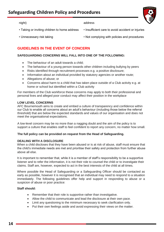## **Safeguarding Children Policy and Procedures**

night) address

- Taking or inviting children to home address Insufficient care to avoid accident or injuries
	-

- 
- Unnecessary risk taking  **Not complying with policies and procedures**

## **GUIDELINES IN THE EVENT OF CONCERN**

#### **SAFEGUARDING CONCERNS WILL FALL INTO ONE OF THE FOLLOWING:**

- The behaviour of an adult towards a child;
- The behaviour of a young person towards other children including bullying by peers
- Risks identified through recruitment processes e.g. a positive disclosure;
- Information about an individual provided by statutory agencies or another route;
- Allegations of abuse; or
- Concerns about harm to a child that has taken place outside of a Club activity e.g. at home or school but identified within a Club activity

For members of the Club workforce these concerns may apply to both their professional and personal lives and alleged poor conduct may affect their position in the workplace

#### **LOW LEVEL CONCERNS**

AFC Bournemouth aims to create and embed a culture of transparency and confidence within our Club to enable all concerns about an adult's behaviour (including those below the referral threshold) that are below the expected standards and values of our organisation and does not meet the organisational expectations.

A low-level concern may be no more than a nagging doubt and the aim of the policy is to support a culture that enables staff to feel confident to report any concern, no matter how small.

#### **The full policy can be provided on request from the Head of Safeguarding.**

#### **DEALING WITH A DISCLOSURE**

When a child discloses that they have been abused or is at risk of abuse, staff must ensure that the child's immediate needs are met and prioritise their safety and protection from further abuse above all else.

It is important to remember that, while it is a member of staff's responsibility to be a supportive listener and to refer the information, it is not their role to counsel the child or to investigate their claims. Staff are, however, expected to act in the best interests of the child at all times.

Where possible the Head of Safeguarding or a Safeguarding Officer should be contacted as early as possible, however it is recognised that an individual may need to respond to a situation immediately. The following guidelines offer help and support in responding to abuse or a suspicion of abuse or poor practice:

#### **Staff should:**

- Remember that their role is supportive rather than investigative.
- Allow the child to communicate and lead the disclosure at their own pace.
- Limit any questioning to the minimum necessary to seek clarification only.
- Put their own feelings aside and avoid expressing their views on the matter.

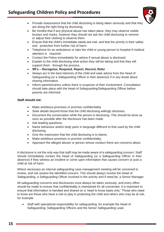

- Provide reassurance that the child disclosing is being taken seriously and that they are doing the right thing by disclosing.
- Be mindful that if any physical abuse has taken place, they may observe visible bruises and marks, however they should not ask the child disclosing to remove or adjust their clothing to observe them.
- Ensure that the child's immediate needs are met, and that the priority is their safety and protection from further risk of harm.
- Telephone for an ambulance or take the child or young person to hospital if medical attention is required.
- Contact the Police immediately for advice if sexual abuse is disclosed.
- Explain to the child disclosing what action they will be taking and that they will support them through the process.
- **5R's – Recognise, Respond, Report, Record, Refer**
- Always act in the best interests of the child and seek advice from the Head of Safeguarding (or a Safeguarding Officer in their absence) if in any doubt about sharing information.
- Inform parents/carers unless there is suspicion of their involvement. Consultation should take place with the Head of Safeguarding/Safeguarding Officer before parents are informed.

#### **Staff should not:**

- Make ambitious promises or promise confidentiality.
- Seek details beyond those that the child disclosing willingly discloses.
- Document the conversation while the person is disclosing. This should be done as soon as possible after the disclosure has been made.
- Ask leading questions.
- Name behaviour and/or body parts in language different to that used by the child disclosing.
- Give the impression that the child disclosing is to blame.
- Make ambitious promises or promise confidentiality.
- Approach the alleged abuser or person whose conduct there are concerns about.

A disclosure is not the only way that staff may be made aware of a safeguarding concern. Staff should immediately contact the Head of Safeguarding (or a Safeguarding Officer in their absence) if they witness an incident or come upon information that causes concern or puts a child at risk of harm.

Where necessary an internal safeguarding case management meeting will be convened to review, and risk assess the identified concern. This should always involve the Head of Safeguarding, a Safeguarding Officer involved in the activity and if need be, a Senior Manager.

All safeguarding concerns and disclosures must always be taken seriously, and every effort should be made to ensure that confidentiality is maintained for all concerned. It is important to ensure that information is handled and shared on a 'need to know basis only.' Those who need to know are those who have a role to play in protecting the child and others who may be at risk, for example:

• Staff with operational responsibility for safeguarding, for example the Head of Safeguarding, Safeguarding Officers and the Senior Safeguarding Lead.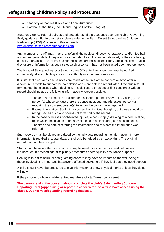

- Statutory authorities (Police and Local Authorities)
- Football authorities (The FA and English Football League)

Statutory Agency referral policies and procedures take precedence over any club or Governing Body guidance. For further details please refer to the Pan - Dorset Safeguarding Children Partnership (SCP) Policies and Procedures link: [http://pandorsetscb.proceduresonline.com](http://pandorsetscb.proceduresonline.com/)

Any member of staff may make a referral themselves directly to statutory and/or football authorities, particularly if they are concerned about a child's immediate safety, if they are having difficulty contacting the clubs designated safeguarding staff or if they are concerned that a disclosure or information about a safeguarding concern has not been acted upon appropriately.

The Head of Safeguarding (or a Safeguarding Officer in their absence) must be notified immediately after contacting a statutory authority or emergency services.

It is vital that clear and concise notes are made at the time of the concern or soon after a disclosure is made to support the completion of a more detailed record later. If the club referral form cannot be accessed when dealing with a disclosure or safeguarding concern, a written record should include the following information wherever possible:

- The date and time of the incident or disclosure, parties involved i.e. victim(s), the person(s) whose conduct there are concerns about, any witnesses, person(s) reporting the concern, person(s) to whom the concern was reported.
- Factual information. Staff might convey their intuitive thoughts, but these should be recognised as such and should not form part of the record.
- In the case of bruises or observed injuries, a body map (a drawing of a body outline, upon which the location of bruises/injuries can be indicated) can be completed.
- The time and date of referring the information and to whom the information was referred.

Such records must be signed and dated by the individual recording the information. If more information is recalled at a later date, this should be added as an addendum. The original record must not be changed.

Staff should be aware that such records may be used as evidence for investigations and inquiries, court proceedings, disciplinary procedures and/or quality assurance purposes.

Dealing with a disclosure or safeguarding concern may have an impact on the well-being of those involved. It is important that anyone affected seeks help if they feel that they need support

A child should never be pressured to give information or show physical marks unless they do so willingly.

#### **If they chose to show markings, two members of staff must be present.**

**The person raising the concern should complete the club's Safeguarding Concern Reporting Form (Appendix 3) or report the concern for those who have access using the clubs MyConcern safeguarding recording database.**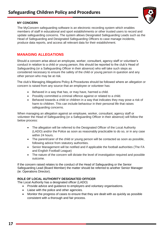#### **MY CONCERN**

The MyConcern safeguarding software is an electronic recording system which enables members of staff in educational and sport establishments or other trusted users to record and update safeguarding concerns. The system allows Designated Safeguarding Leads such as the Head of Safeguarding and Designated Safeguarding Officers to case manage incidents, produce data reports, and access all relevant data for their establishment.

### **MANAGING ALLEGATIONS**

Should a concern arise about an employee, worker, consultant, agency staff or volunteer's conduct in relation to a child or young person, this should be reported to the club's Head of Safeguarding (or a Safeguarding Officer in their absence) who will take such steps as considered necessary to ensure the safety of the child or young person in question and any other person who may be at risk.

The club's Managing Allegations Policy & Procedures should be followed where an allegation or concern is raised from any source that an employee or volunteer has:

- Behaved in a way that has, or may have, harmed a child.
- Possibly committed a criminal offence against or related to a child.
- Behaved towards a child or children in a way that indicates they may pose a risk of harm to children. This can include behaviour in their personal life that raises safeguarding concerns.

When managing an allegation against an employee, worker, consultant, agency staff or volunteer the Head of Safeguarding (or a Safeguarding Officer in their absence) will follow the below process:

- The allegation will be referred to the Designated Officer of the Local Authority (LADO) and/or the Police as soon as reasonably practicable to do so, or in any case within 24 hours.
- The parent/carer of the child or young person will be contacted as soon as possible, following advice from statutory authorities.
- Senior Management will be notified and if applicable the football authorities (The FA and English Football League)
- The nature of the concern will dictate the level of investigation required and possible outcome.

If the concern raised relates to the conduct of the Head of Safeguarding or the Senior Safeguarding Lead (Board Member) the matter should be referred to another Senior Manager (ie: Operations Director).

#### **ROLE OF LOCAL AUTHORITY DESIGNATED OFFICER**

The Local Authority has a designated officer (LADO)

- Provide advice and guidance to employers and voluntary organisations.
- Liaise with the police and other agencies.
- Monitor the progress of cases to ensure that they are dealt with as quickly as possible consistent with a thorough and fair process.

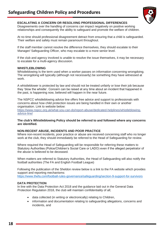

#### **ESCALATING A CONCERN OR RESOLVING PROFESSIONAL DIFFERENCES**

Disagreements over the handling of concerns can impact negatively on positive working relationships and consequently the ability to safeguard and promote the welfare of children.

At no time should professional disagreement detract from ensuring that a child is safeguarded. Their welfare and safety must remain paramount throughout.

If the staff member cannot resolve the difference themselves, they should escalate to their Manager/ Safeguarding Officer, who may escalate to a more senior level.

If the club and agency involved is unable to resolve the issue themselves, it may be necessary to escalate for a multi-agency discussion.

#### **WHISTLEBLOWING**

Whistleblowing Is the term used when a worker passes on information concerning wrongdoing. The wrongdoing will typically (although not necessarily) be something they have witnessed at work.

A whistleblower is protected by law and should not be treated unfairly or lose their job because they 'blow the whistle'. Concern can be raised at any time about an incident that happened in the past, is happening now, believed will happen in the near future.

The NSPCC whistleblowing advice line offers free advice and support to professionals with concerns about how child protection issues are being handled in their own or another organisation. Link to website below:

https://www.nspcc.org.uk/what-you-can-do/report-abuse/dedicated-helplines/whistleblowingadvice-line/

#### **The club's Whistleblowing Policy should be referred to and followed where any concerns are identified.**

#### **NON-RECENT ABUSE, INCIDENTS AND POOR PRACTICE**

Where non-recent incidents, poor practice or abuse are received concerning staff who no longer work at the club, they should immediately be referred to the Head of Safeguarding for review.

Where required the Head of Safeguarding will be responsible for referring these matters to Statutory Authorities (Police/Children's Social Care or LADO) even if the alleged perpetrator of the abuse is believed to be deceased.

When matters are referred to Statutory Authorities, the Head of Safeguarding will also notify the football authorities (The FA and English Football League)

Following the publication of the Sheldon review below is a link to the FA website which provides support and reporting mechanisms:

<https://www.thefa.com/football-rules-governance/safeguarding/section-9-support-for-survivors>

#### **DATA PROTECTION**

In line with the Data Protection Act 2018 and the guidance laid out in the General Data Protection Regulation 2018, the club will maintain confidentiality of all;

- data collected (in writing or electronically) relating to Children,
- information and documentation relating to safeguarding allegations, concerns and incidents, and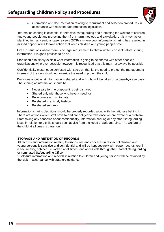- 
- information and documentation relating to recruitment and selection procedures in accordance with relevant data protection legislation.

Information sharing is essential for effective safeguarding and promoting the welfare of children and young people and protecting them from harm, neglect, and exploitation. It is a key factor identified in many serious case reviews (SCRs), where poor information sharing has resulted in missed opportunities to take action that keeps children and young people safe.

Even in situations where there is no legal requirement to obtain written consent before sharing information, it is good practice to do so.

Staff should routinely explain what information is going to be shared with other people or organisations wherever possible however it is recognised that this may not always be possible.

Confidentiality must not be confused with secrecy, that is, the need to protect the management interests of the club should not override the need to protect the child.

Decisions about what information is shared and with who will be taken on a case-by-case basis. The sharing of information should be:

- Necessary for the purpose it is being shared.
- Shared only with those who have a need for it.
- Be accurate and up to date.
- Be shared in a timely fashion.
- Be shared securely.

Information sharing decisions should be properly recorded along with the rationale behind it. There are actions which staff have to and are obliged to take once we are aware of a problem. Staff having any concerns about confidentially, information sharing or any other safeguarding issue in relation to a child should seek advice from the Head of Safeguarding. The welfare of the child at all times is paramount.

#### **STORAGE AND RETENTION OF RECORDS**

All records and information relating to disclosures and concerns in respect of children and young persons is sensitive and confidential and will be kept securely with paper records kept in a secure filing cabinet (i.e. locked at all times) and accessible through the Head of Safeguarding or nominated Safeguarding Officer.

Disclosure information and records in relation to children and young persons will be retained by the club in accordance with statutory guidance.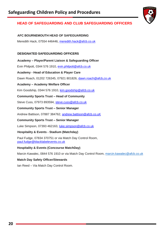

## **HEAD OF SAFEGUARDING AND CLUB SAFEGUARDING OFFICERS**

#### **AFC BOURNEMOUTH HEAD OF SAFEGUARDING**

Meredith Hack, 07554 446446, [meredith.hack@afcb.co.uk](mailto:meredith.hack@afcb.co.uk)

#### **DESIGNATED SAFEGUARDING OFFICERS**

**Academy – Player/Parent Liaison & Safeguarding Officer**

Evin Philpott, 0344 576 1910, [evin.philpott@afcb.co.uk](mailto:evin.philpott@afcb.co.uk)

**Academy - Head of Education & Player Care**

Dawn Roach, 01202 726345, 07921 801826, [dawn.roach@afcb,co.uk](mailto:dawn.roach@afcb,co.uk)

#### **Academy – Academy Welfare Officer**

Kim Goodship, 0344 576 1910, [kim.goodship@afcb.co.uk](mailto:kim.goodship@afcb.co.uk)

**Community Sports Trust – Head of Community**

Steve Cuss, 07973 893594, [steve.cuss@afcb.co.uk](mailto:steve.cuss@afcb.co.uk)

#### **Community Sports Trust – Senior Manager**

Andrew Battison, 07887 384762, [andrew.battison@afcb.co.uK](mailto:andrew.battison@afcb.co.uK)

#### **Community Sports Trust – Senior Manager**

Luke Simpson, 07393 462163, [luke.simpson@afcb.co.uk](mailto:luke.simpson@afcb.co.uk)

#### **Hospitality & Events - Stadium (Matchday)**

Paul Fudge, 07834 370751 or via Match Day Control Room, [paul.fudge@blacklabelevents.co.uk](mailto:paul.fudge@blacklabelevents.co.uk)

#### **Hospitality & Events (Concourse MatchDay)**

Marcin Kawalec, 0844 576 1910 or via Match Day Control Room, [marcin.kawalec@afcb.co.uk](mailto:marcin.kawalec@afcb.co.uk)

#### **Match Day Safety Officer/Stewards**

Ian Reed – Via Match Day Control Room.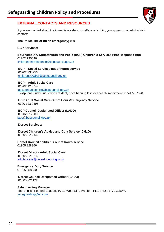

## **EXTERNAL CONTACTS AND RESOURCES**

If you are worried about the immediate safety or welfare of a child, young person or adult at risk contact:

#### **The Police 101 or (in an emergency) 999**

#### **BCP Services:**

#### **Bournemouth, Christchurch and Poole (BCP) Children's Services First Response Hub** 01202 735046 [childrensfirstresponse@bcpcouncil.gov.uk](mailto:childrensfirstresponse@bcpcouncil.gov.uk)

**BCP – Social Services out of hours service** 01202 738256 [childrensOOHS@bcpcouncil.gov.uk](mailto:childrensOOHS@bcpcouncil.gov.uk)

#### **BCP – Adult Social Care**  01202 123654 [asc.contactcentre@bcpcouncil.gov.uk](mailto:asc.contactcentre@bcpcouncil.gov.uk) Textphone (Individuals who are deaf, have hearing loss or speech impairment) 07747757570

**BCP Adult Social Care Out of Hours/Emergency Service** 0300 123 9895

#### **BCP Council Designated Officer (LADO)** 01202 817600 [lado@bcpcouncil.gov.uk](mailto:lado@bcpcouncil.gov.uk)

**Dorset Services:**

**Dorset Children's Advice and Duty Service (CHaD)**  01305 228866

**Dorset Council children's out of hours service**  01305 228866

**Dorset Direct - Adult Social Care** 01305 221016 [adultaccess@dorsetcouncil.gov.uk](mailto:adultaccess@dorsetcouncil.gov.uk)

**Emergency Duty Service** 01305 858250

**Dorset Council Designated Officer (LADO)** 01305 221122

**Safeguarding Manager** The English Football League, 10-12 West Cliff, Preston, PR1 8HU 01772 325940 [safeguarding@efl.com](mailto:safeguarding@efl.com)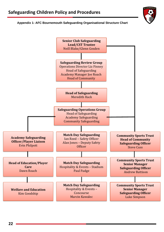#### **Appendix 1- AFC Bournemouth Safeguarding Organisational Structure Chart**

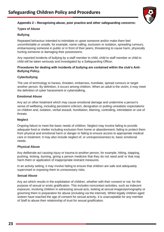

#### **Appendix 2 – Recognising abuse, poor practice and other safeguarding concerns:**

#### **Types of Abuse**

#### **Bullying**

Repeated behaviour intended to intimidate or upset someone and/or make them feel uncomfortable or unsafe, for example, name calling, exclusion or isolation, spreading rumours, embarrassing someone in public or in front of their peers, threatening to cause harm, physically hurting someone or damaging their possessions.

Any reported incidents of bullying by a staff member to child, child to staff member or child to child will be taken seriously and investigated by a Safeguarding Officer.

#### **Procedures for dealing with incidents of bullying are contained within the club's Anti-Bullying Policy.**

#### **Cyberbullying**

The use of technology to harass, threaten, embarrass, humiliate, spread rumours or target another person. By definition, it occurs among children. When an adult is the victim, it may meet the definition of cyber harassment or cyberstalking.

#### **Emotional Abuse**

Any act or other treatment which may cause emotional damage and undermine a person's sense of wellbeing, including persistent criticism, denigration or putting unrealistic expectations on children and, isolation, verbal assault, humiliation, blaming, controlling, intimidation or use of threats.

#### **Neglect**

Ongoing failure to meet the basic needs of children. Neglect may involve failing to provide adequate food or shelter including exclusion from home or abandonment, failing to protect them from physical and emotional harm or danger or failing to ensure access to appropriate medical care or treatment. It may also include neglect of, or unresponsiveness to, basic emotional needs.

#### **Physical Abuse**

Any deliberate act causing injury or trauma to another person, for example, hitting, slapping, pushing, kicking, burning, giving a person medicine that they do not need and/ or that may harm them or application of inappropriate restraint measures.

In an activity setting, it may involve failing to ensure that children are safe and adequately supervised or exposing them to unnecessary risks.

#### **Sexual Abuse**

Any act which results in the exploitation of children, whether with their consent or not, for the purpose of sexual or erotic gratification. This includes noncontact activities, such as indecent exposure, involving children in witnessing sexual acts, looking at sexual images/pornography or grooming them in preparation for abuse (including via the internet). Whilst legally children aged sixteen have reached the age of consent for sexual activity, it is unacceptable for any member of Staff to abuse their relationship of trust for sexual gratification.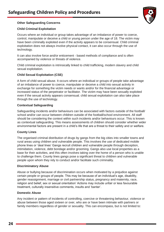

#### **Other Safeguarding Concerns**

#### **Child Criminal Exploitation**

Occurs where an individual or group takes advantage of an imbalance of power to coerce, control, manipulate or deceive a child or young person under the age of 18. The victim may have been criminally exploited even if the activity appears to be consensual. Child criminal exploitation does not always involve physical contact, it can also occur through the use of technology.

It can also involve force and/or enticement - based methods of compliance and is often accompanied by violence or threats of violence.

Child criminal exploitation is intrinsically linked to child trafficking, modern slavery and child sexual exploitation.

#### **Child Sexual Exploitation (CSE)**

A form of child sexual abuse. It occurs where an individual or groups of people take advantage of an imbalance of power to coerce, manipulate or deceive a child into sexual activity in exchange for something the victim needs or wants and/or for the financial advantage or increased status of the perpetrator or facilitator. The victim may have been sexually exploited even if the sexual activity appears consensual. child sexual exploitation can also take place through the use of technology.

#### **Contextual Safeguarding**

Safeguarding incidents and/or behaviours can be associated with factors outside of the football/ school and/or can occur between children outside of the football/school environment. All staff should be considering the context within such incidents and/or behaviours occur. This is known as contextual safeguarding. This means assessments of children should consider whether wider environmental factors are present in a child's life that are a threat to their safety and or welfare.

#### **County Lines**

The organised criminal distribution of drugs by gangs from the big cities into smaller towns and rural areas using children and vulnerable people. This involves the use of dedicated mobile phone lines or 'deal lines' Gangs recruit children and vulnerable people through deception, intimidation, violence, debt bondage and/or grooming. Gangs also use local properties as a base for their activities, and this often involves taking over the home of a person who is unable to challenge them. County lines gangs pose a significant threat to children and vulnerable people upon whom they rely to conduct and/or facilitate such criminality.

#### **Discriminatory Abuse**

Abuse or bullying because of discrimination occurs when motivated by a prejudice against certain people or groups of people. This may be because of an individual's age, disability, gender reassignment, marriage or civil partnership status, pregnancy and maternity, race, religion and belief, sex or sexual orientation' Actions may include unfair or less favourable treatment, culturally insensitive comments, insults and 'banter'.

#### **Domestic Abuse**

Any incident or pattern of incidents of controlling, coercive or threatening behaviour, violence or abuse between those aged sixteen or over, who are or have been intimate with partners or family members regardless of gender or sexuality. This can encompass, but is not limited to: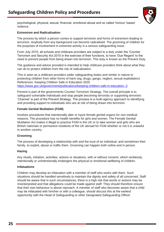

psychological, physical, sexual, financial, emotional abuse and so called 'honour' based violence.

#### **Extremism and Radicalisation**

The process by which a person comes to support terrorism and forms of extremism leading to terrorism. Anybody from any background can become radicalised. The grooming of children for the purposes of involvement in extremist activity is a serious safeguarding issue.

From July 2015, all schools and childcare providers are subject to a duty under the 'Counter Terrorism and Security Act 2015 in the exercise of their functions, to have 'Due Regard' to the need to prevent people from being drawn into terrorism. This duty is known as the Prevent Duty.

The guidance and advice provided is intended to help childcare providers think about what they can do to protect children from the risk of radicalisation.

This is seen as a childcare providers wider safeguarding duties and similar in nature to protecting children from other forms of harm (eg, drugs, gangs, neglect, sexual exploitation) References: Keeping Children Safe in Education 2020 <https://www.gov.uk/government/publications/keeping-children-safe-in-education--2>

Prevent is part of the governments Counter-Terrorism Strategy. The overall principle is to safeguard vulnerable individuals and stop people becoming terrorists or supporting terrorism. 'Channel' is part of the Prevent Strategy. The process is a multi-agency approach to identifying and providing support to individuals who are at risk of being drawn into terrorism.

#### **Female Genital Mutilation (FGM)**

Involves procedures that intentionally alter or injure female genital organs for non-medical reasons. The procedure has no health benefits for girls and women. The Female Genital Mutilation Act makes it illegal to practice FGM in the UK or to take women and girls who are British nationals or permanent residents of the UK abroad for FGM whether or not it is unlawful in another country.

#### **Grooming**

The process of developing a relationship with and the trust of an individual, and sometimes their family, to exploit, abuse or traffic them. Grooming can happen both online and in person.

#### **Hazing**

Any rituals, initiation, activities, actions or situations, with or without consent, which recklessly, intentionally or unintentionally endangers the physical or emotional wellbeing of children.

#### **Infatuations**

Children may develop an infatuation with a member of staff who works with them. Such situations should be handled sensitively to maintain the dignity and safety of all concerned. Staff should be aware that in such circumstances, there is a high risk that words or actions may be misinterpreted and that allegations could be made against staff. They should therefore ensure that their own behaviour is above reproach. A member of staff who becomes aware that a child may be infatuated with him/her or with a colleague, should discuss this at the earliest opportunity with the Head of Safeguarding or other Designated Safeguarding Officer.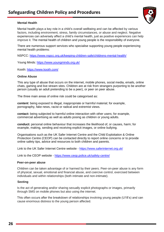

#### **Mental Health**

Mental health plays a key role in a child's overall wellbeing and can be affected by various factors, including environment, stress, family circumstances, or abuse and neglect. Negative experiences can adversely affect a child's mental health, just as positive experiences can help improve it. The mental health of children and young people is the responsibility of everyone.

There are numerous support services who specialise supporting young people experiencing mental health problems:

NSPCC:<https://www.nspcc.org.uk/keeping-children-safe/childrens-mental-health/>

Young Minds:<https://www.youngminds.org.uk/>

Kooth:<https://www.kooth.com/>

#### **Online Abuse**

This any type of abuse that occurs on the internet, mobile phones, social media, emails, online chats, gaming and live stream sites. Children are at risk from strangers purporting to be another person (usually an adult pretending to be a peer), or peer on peer abuse.

The three main areas of online risk could be categorised as:

**content**: being exposed to illegal, inappropriate or harmful material; for example, pornography, fake news, racist or radical and extremist views.

**contact:** being subjected to harmful online interaction with other users; for example, commercial advertising as well as adults posing as children or young adults.

**conduct:** personal online behaviour that increases the likelihood of, or causes, harm; for example, making, sending and receiving explicit images, or online bullying.

Organisations such as the UK Safer Internet Centre and the Child Exploitation & Online Protection Centre (CEOP) can be contacted directly to report online concerns or to provide online safety tips, advice and resources to both children and parents.

Link to the UK Safer Internet Centre website - <https://www.saferinternet.org.uk/>

Link to the CEOP website - <https://www.ceop.police.uk/safety-centre/>

#### **Peer-on-peer abuse**

Children can be taken advantage of or harmed by their peers. Peer-on-peer abuse is any form of physical, sexual, emotional and financial abuse, and coercive control, exercised between individuals and within relationships (both intimate and non-intimate).

#### **Sexting**

Is the act of generating and/or sharing sexually explicit photographs or images, primarily through SMS on mobile phones but also using the internet.

This often occurs after the breakdown of relationships involving young people (U18's) and can cause enormous distress to the young person affected.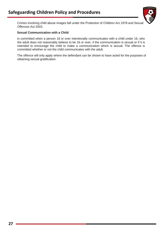

Crimes involving child abuse images fall under the Protection of Children Act 1978 and Sexual Offences Act 2003.

#### **Sexual Communication with a Child**

Is committed when a person 18 or over intentionally communicates with a child under 16, who the adult does not reasonably believe to be 16 or over, if the communication is sexual or if it is intended to encourage the child to make a communication which is sexual. The offence is committed whether or not the child communicates with the adult.

The offence will only apply where the defendant can be shown to have acted for the purposes of obtaining sexual gratification.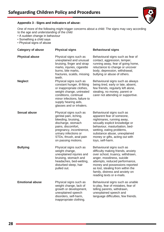

#### **Appendix 3 - Signs and indicators of abuse:**

One of more of the following might trigger concerns about a child: The signs may vary according to the age and understanding of the child

- A sudden change in behaviour
- Something a child says
- Physical signs of abuse

| Category of abuse      | <b>Physical signs</b>                                                                                                                                                                                                        | <b>Behavioural signs</b>                                                                                                                                                                                                                                                                                  |
|------------------------|------------------------------------------------------------------------------------------------------------------------------------------------------------------------------------------------------------------------------|-----------------------------------------------------------------------------------------------------------------------------------------------------------------------------------------------------------------------------------------------------------------------------------------------------------|
| <b>Physical abuse</b>  | Physical signs such as<br>unexplained and unusual<br>bruising, finger and strap<br>marks, injuries, cigarette<br>burns, bite marks,<br>fractures, scalds, missing<br>teeth.                                                  | Behavioural signs such as fear of<br>contact, aggression, temper,<br>running away, fear of going home,<br>reluctance to change or uncover<br>body, depression, withdrawal,<br>bullying or abuse of others.                                                                                                |
| <b>Neglect</b>         | Physical signs such as<br>constant hunger, ill-fitting<br>or inappropriate clothes,<br>weight change, untreated<br>conditions, continual<br>minor infections, failure to<br>supply hearing aids,<br>glasses and or inhalers. | Behavioural signs such as always<br>being tired, early or late, absent,<br>few friends, regularly left alone,<br>stealing, no money, parent or<br>carer not attending or supportive.                                                                                                                      |
| <b>Sexual abuse</b>    | Physical signs such as<br>genital pain, itching,<br>bleeding, bruising,<br>discharge, stomach<br>pains, discomfort,<br>pregnancy, incontinence,<br>urinary infections or<br>STDs, thrush, anal pain<br>on passing motions.   | Behavioural signs such as<br>apparent fear of someone,<br>nightmares, running away,<br>sexually explicit knowledge or<br>behaviour, masturbation, bed-<br>wetting, eating problems,<br>substance abuse, unexplained<br>money or gifts, acting out with<br>toys, self-harm.                                |
| <b>Bullying</b>        | Physical signs such as<br>weight change,<br>unexplained injuries and<br>bruising, stomach and<br>headaches, bed-wetting,<br>disturbed sleep, hair<br>pulled out.                                                             | Behavioural signs such as<br>difficulty making friends, anxiety<br>over school, truancy, withdrawn,<br>anger, moodiness, suicide<br>attempts, reduced performance,<br>money and possessions reported<br>as lost, stealing from within the<br>family, distress and anxiety on<br>reading texts or e-mails. |
| <b>Emotional abuse</b> | Physical signs such as<br>weight change, lack of<br>growth or development,<br>unexplained speech<br>disorders, self-harm,<br>inappropriate clothing.                                                                         | Behavioural signs such as unable<br>to play, fear of mistakes, fear of<br>telling parents, withdrawn,<br>unexplained speech and<br>language difficulties, few friends.                                                                                                                                    |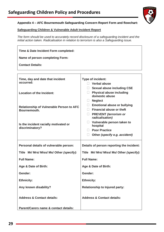

#### **Appendix 4 – AFC Bournemouth Safeguarding Concern Report Form and flowchart:**

#### **Safeguarding Children & Vulnerable Adult Incident Report**

*The form should be used to accurately record disclosure of a safeguarding incident and the initial action taken. Radicalisation in relation to terrorism is also a Safeguarding issue.*

| Time & Date Incident Form completed:                            |                                                                                                                                    |  |  |
|-----------------------------------------------------------------|------------------------------------------------------------------------------------------------------------------------------------|--|--|
| <b>Name of person completing Form:</b>                          |                                                                                                                                    |  |  |
| <b>Contact Details:</b>                                         |                                                                                                                                    |  |  |
|                                                                 |                                                                                                                                    |  |  |
| Time, day and date that incident<br>occurred:                   | Type of incident:<br><b>Verbal abuse</b>                                                                                           |  |  |
| <b>Location of the Incident:</b>                                | $\Box$ Sexual abuse including CSE<br><b>Physical abuse including</b><br>domestic abuse<br><b>Neglect</b>                           |  |  |
| <b>Relationship of Vulnerable Person to AFC</b><br>Bournemouth. | <b>Emotional abuse or bullying</b><br>$\Box$<br><b>Financial abuse or theft</b><br><b>PREVENT</b> (terrorism or<br>radicalisation) |  |  |
| Is the incident racially motivated or<br>discriminatory?        | Vulnerable person taken to<br>hospital<br><b>Poor Practice</b><br>Other (specify e.g. accident)                                    |  |  |
| Personal details of vulnerable person:                          | Details of person reporting the incident:                                                                                          |  |  |
| Title Mr/ Mrs/ Miss/ Ms/ Other (specify):                       | Title Mr/ Mrs/ Miss/ Ms/ Other (specify):                                                                                          |  |  |
| <b>Full Name:</b>                                               | <b>Full Name:</b>                                                                                                                  |  |  |
| Age & Date of Birth:                                            | Age & Date of Birth:                                                                                                               |  |  |
| Gender:                                                         | Gender:                                                                                                                            |  |  |
| <b>Ethnicity:</b>                                               | <b>Ethnicity:</b>                                                                                                                  |  |  |
| Any known disability?                                           | <b>Relationship to Injured party:</b>                                                                                              |  |  |
| <b>Address &amp; Contact details:</b>                           | <b>Address &amp; Contact details:</b>                                                                                              |  |  |
| Parent/Carers name & contact details:                           |                                                                                                                                    |  |  |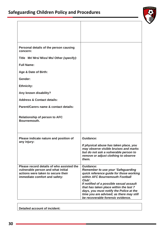

| Personal details of the person causing<br>concern:                                                                                                     |                                                                                                                                                                                                                                                                                                                                                                         |
|--------------------------------------------------------------------------------------------------------------------------------------------------------|-------------------------------------------------------------------------------------------------------------------------------------------------------------------------------------------------------------------------------------------------------------------------------------------------------------------------------------------------------------------------|
| Title Mr/ Mrs/ Miss/ Ms/ Other (specify):                                                                                                              |                                                                                                                                                                                                                                                                                                                                                                         |
| <b>Full Name:</b>                                                                                                                                      |                                                                                                                                                                                                                                                                                                                                                                         |
| Age & Date of Birth:                                                                                                                                   |                                                                                                                                                                                                                                                                                                                                                                         |
| Gender:                                                                                                                                                |                                                                                                                                                                                                                                                                                                                                                                         |
| <b>Ethnicity:</b>                                                                                                                                      |                                                                                                                                                                                                                                                                                                                                                                         |
| Any known disability?                                                                                                                                  |                                                                                                                                                                                                                                                                                                                                                                         |
| <b>Address &amp; Contact details:</b>                                                                                                                  |                                                                                                                                                                                                                                                                                                                                                                         |
| Parent/Carers name & contact details:                                                                                                                  |                                                                                                                                                                                                                                                                                                                                                                         |
| <b>Relationship of person to AFC</b><br>Bournemouth.                                                                                                   |                                                                                                                                                                                                                                                                                                                                                                         |
| Please indicate nature and position of<br>any injury:                                                                                                  | Guidance:<br>If physical abuse has taken place, you<br>may observe visible bruises and marks<br>but do not ask a vulnerable person to<br>remove or adjust clothing to observe<br>them.                                                                                                                                                                                  |
| Please record details of who assisted the<br>vulnerable person and what initial<br>actions were taken to secure their<br>immediate comfort and safety: | <b>Guidance:</b><br><b>Remember to use your 'Safeguarding</b><br>quick reference guide for those working<br>within AFC Bournemouth Football<br>Club'.<br>If notified of a possible sexual assault<br>that has taken place within the last 7<br>days, you must notify the Police at the<br>time you are advised; as there may still<br>be recoverable forensic evidence. |

**Detailed account of incident:**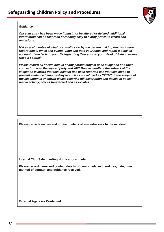

#### *Guidance:*

*Once an entry has been made it must not be altered or deleted, additional information can be recorded chronologically to clarify previous errors and omissions.*

*Make careful notes of what is actually said by the person making the disclosure, record dates, times and events. Sign and date your notes and report a detailed account of the facts to your Safeguarding Officer or to your Head of Safeguarding. Keep it Factual!*

*Please record all known details of any person subject of an allegation and their connection with the injured party and AFC Bournemouth. If the subject of the allegation is aware that this incident has been reported can you take steps to prevent evidence being destroyed such as social media / CCTV? If the subject of the allegation is unknown please record a full description and details of social media activity, places frequented and associates.*

**Please provide names and contact details of any witnesses to the incident:**

**Internal Club Safeguarding Notifications made:**

**Please record name and contact details of person advised; and day, date, time, method of contact; and guidance received.**

**External Agencies Contacted:**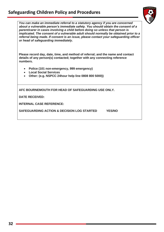## **Safeguarding Children Policy and Procedures**



*You can make an immediate referral to a statutory agency if you are concerned about a vulnerable person's immediate safety. You should obtain the consent of a parent/carer in cases involving a child before doing so unless that person is implicated. The consent of a vulnerable adult should normally be obtained prior to a referral being made. If consent is an issue, please contact your safeguarding officer or head of safeguarding immediately.*

**Please record day, date, time, and method of referral; and the name and contact details of any person(s) contacted; together with any connecting reference numbers.**

- **Police (101 non-emergency, 999 emergency)**
- **Local Social Services**
- **Other: (e.g. NSPCC 24hour help line 0808 800 5000))**

**AFC BOURNEMOUTH FOR HEAD OF SAFEGUARDING USE ONLY.**

**DATE RECEIVED:**

**INTERNAL CASE REFERENCE:**

**SAFEGUARDING ACTION & DECISION LOG STARTED YES/NO**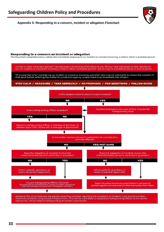**Appendix 5- Responding to a concern, incident or allegation Flowchart**

#### Responding to a concern an incident or allegation

The flowchart presented below, details the immediate response to an incident or concern involving a child or other vulnerable person.



#### **33**